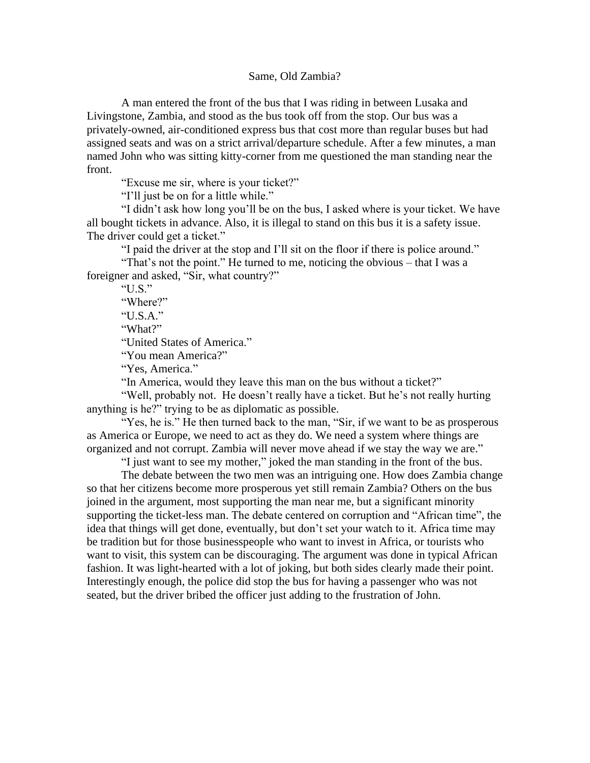## Same, Old Zambia?

A man entered the front of the bus that I was riding in between Lusaka and Livingstone, Zambia, and stood as the bus took off from the stop. Our bus was a privately-owned, air-conditioned express bus that cost more than regular buses but had assigned seats and was on a strict arrival/departure schedule. After a few minutes, a man named John who was sitting kitty-corner from me questioned the man standing near the front.

"Excuse me sir, where is your ticket?"

"I'll just be on for a little while."

"I didn't ask how long you'll be on the bus, I asked where is your ticket. We have all bought tickets in advance. Also, it is illegal to stand on this bus it is a safety issue. The driver could get a ticket."

"I paid the driver at the stop and I'll sit on the floor if there is police around."

"That's not the point." He turned to me, noticing the obvious – that I was a foreigner and asked, "Sir, what country?"

"U.S." "Where?" "U.S.A." "What?" "United States of America." "You mean America?"

"Yes, America."

"In America, would they leave this man on the bus without a ticket?"

"Well, probably not. He doesn't really have a ticket. But he's not really hurting anything is he?" trying to be as diplomatic as possible.

"Yes, he is." He then turned back to the man, "Sir, if we want to be as prosperous as America or Europe, we need to act as they do. We need a system where things are organized and not corrupt. Zambia will never move ahead if we stay the way we are."

"I just want to see my mother," joked the man standing in the front of the bus.

The debate between the two men was an intriguing one. How does Zambia change so that her citizens become more prosperous yet still remain Zambia? Others on the bus joined in the argument, most supporting the man near me, but a significant minority supporting the ticket-less man. The debate centered on corruption and "African time", the idea that things will get done, eventually, but don't set your watch to it. Africa time may be tradition but for those businesspeople who want to invest in Africa, or tourists who want to visit, this system can be discouraging. The argument was done in typical African fashion. It was light-hearted with a lot of joking, but both sides clearly made their point. Interestingly enough, the police did stop the bus for having a passenger who was not seated, but the driver bribed the officer just adding to the frustration of John.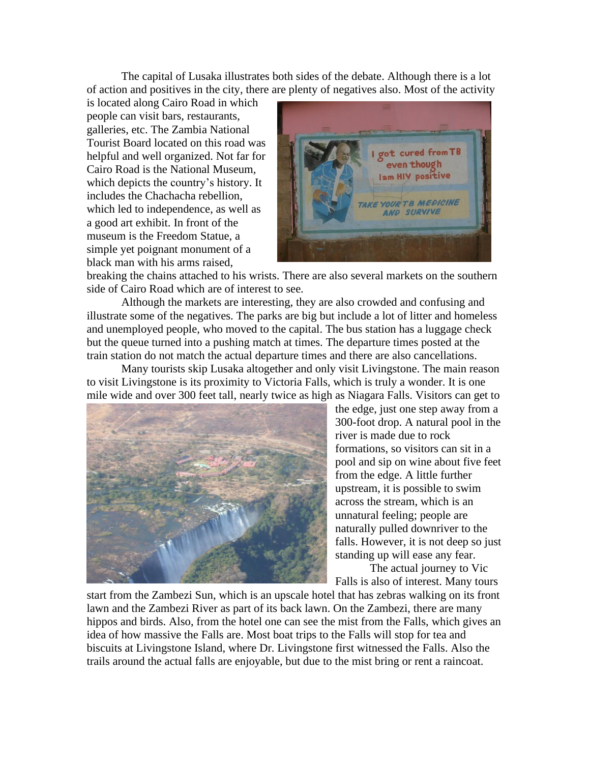The capital of Lusaka illustrates both sides of the debate. Although there is a lot of action and positives in the city, there are plenty of negatives also. Most of the activity

is located along Cairo Road in which people can visit bars, restaurants, galleries, etc. The Zambia National Tourist Board located on this road was helpful and well organized. Not far for Cairo Road is the National Museum, which depicts the country's history. It includes the Chachacha rebellion, which led to independence, as well as a good art exhibit. In front of the museum is the Freedom Statue, a simple yet poignant monument of a black man with his arms raised,



breaking the chains attached to his wrists. There are also several markets on the southern side of Cairo Road which are of interest to see.

Although the markets are interesting, they are also crowded and confusing and illustrate some of the negatives. The parks are big but include a lot of litter and homeless and unemployed people, who moved to the capital. The bus station has a luggage check but the queue turned into a pushing match at times. The departure times posted at the train station do not match the actual departure times and there are also cancellations.

Many tourists skip Lusaka altogether and only visit Livingstone. The main reason to visit Livingstone is its proximity to Victoria Falls, which is truly a wonder. It is one mile wide and over 300 feet tall, nearly twice as high as Niagara Falls. Visitors can get to



the edge, just one step away from a 300-foot drop. A natural pool in the river is made due to rock formations, so visitors can sit in a pool and sip on wine about five feet from the edge. A little further upstream, it is possible to swim across the stream, which is an unnatural feeling; people are naturally pulled downriver to the falls. However, it is not deep so just standing up will ease any fear.

The actual journey to Vic Falls is also of interest. Many tours

start from the Zambezi Sun, which is an upscale hotel that has zebras walking on its front lawn and the Zambezi River as part of its back lawn. On the Zambezi, there are many hippos and birds. Also, from the hotel one can see the mist from the Falls, which gives an idea of how massive the Falls are. Most boat trips to the Falls will stop for tea and biscuits at Livingstone Island, where Dr. Livingstone first witnessed the Falls. Also the trails around the actual falls are enjoyable, but due to the mist bring or rent a raincoat.